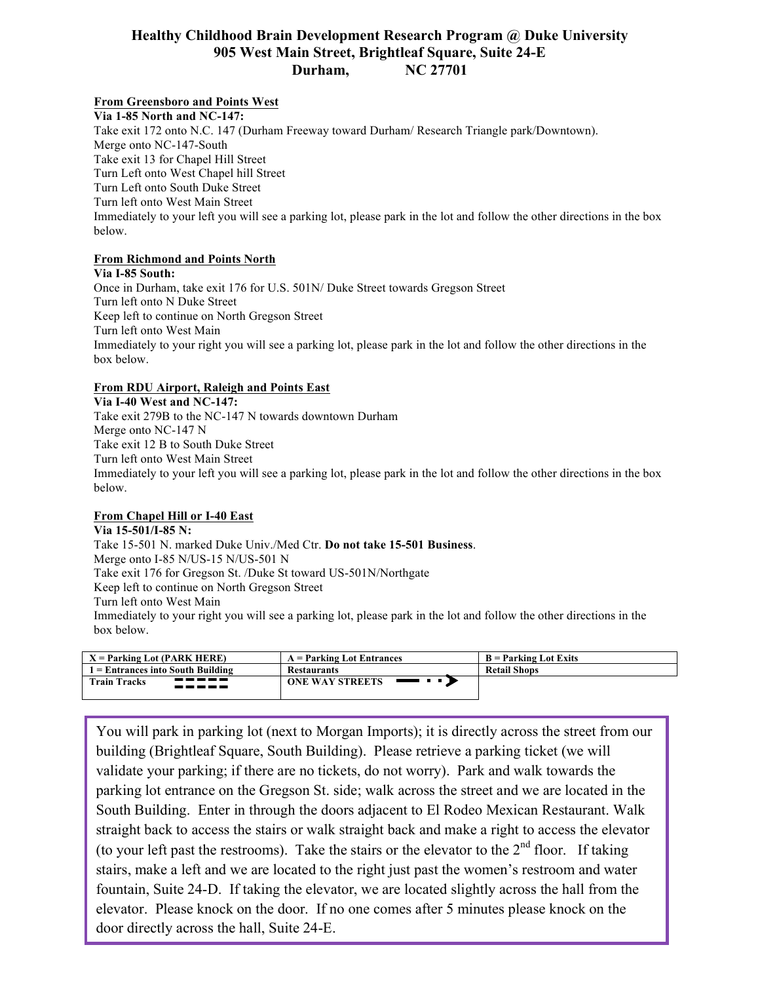## **Healthy Childhood Brain Development Research Program @ Duke University 905 West Main Street, Brightleaf Square, Suite 24-E Durham, NC 27701**

# **From Greensboro and Points West**

**Via 1-85 North and NC-147:**  Take exit 172 onto N.C. 147 (Durham Freeway toward Durham/ Research Triangle park/Downtown). Merge onto NC-147-South Take exit 13 for Chapel Hill Street Turn Left onto West Chapel hill Street Turn Left onto South Duke Street Turn left onto West Main Street Immediately to your left you will see a parking lot, please park in the lot and follow the other directions in the box below.

### **From Richmond and Points North**

**Via I-85 South:**  Once in Durham, take exit 176 for U.S. 501N/ Duke Street towards Gregson Street Turn left onto N Duke Street Keep left to continue on North Gregson Street Turn left onto West Main Immediately to your right you will see a parking lot, please park in the lot and follow the other directions in the box below.

#### **From RDU Airport, Raleigh and Points East**

**Via I-40 West and NC-147:**  Take exit 279B to the NC-147 N towards downtown Durham Merge onto NC-147 N Take exit 12 B to South Duke Street Turn left onto West Main Street Immediately to your left you will see a parking lot, please park in the lot and follow the other directions in the box below.

### **From Chapel Hill or I-40 East**

**Via 15-501/I-85 N:**  Take 15-501 N. marked Duke Univ./Med Ctr. **Do not take 15-501 Business**. Merge onto I-85 N/US-15 N/US-501 N Take exit 176 for Gregson St. /Duke St toward US-501N/Northgate Keep left to continue on North Gregson Street Turn left onto West Main Immediately to your right you will see a parking lot, please park in the lot and follow the other directions in the box below.

| $X =$ Parking Lot (PARK HERE)         | $A =$ Parking Lot Entrances   | $B =$ Parking Lot Exits |
|---------------------------------------|-------------------------------|-------------------------|
| l = Entrances into South Building     | <b>Restaurants</b>            | <b>Retail Shops</b>     |
| -----<br><b>Train Tracks</b><br>----- | <b>ONE WAY STREETS</b><br>___ |                         |

You will park in parking lot (next to Morgan Imports); it is directly across the street from our building (Brightleaf Square, South Building). Please retrieve a parking ticket (we will validate your parking; if there are no tickets, do not worry). Park and walk towards the parking lot entrance on the Gregson St. side; walk across the street and we are located in the South Building. Enter in through the doors adjacent to El Rodeo Mexican Restaurant. Walk straight back to access the stairs or walk straight back and make a right to access the elevator (to your left past the restrooms). Take the stairs or the elevator to the  $2<sup>nd</sup>$  floor. If taking stairs, make a left and we are located to the right just past the women's restroom and water fountain, Suite 24-D. If taking the elevator, we are located slightly across the hall from the elevator. Please knock on the door. If no one comes after 5 minutes please knock on the door directly across the hall, Suite 24-E.